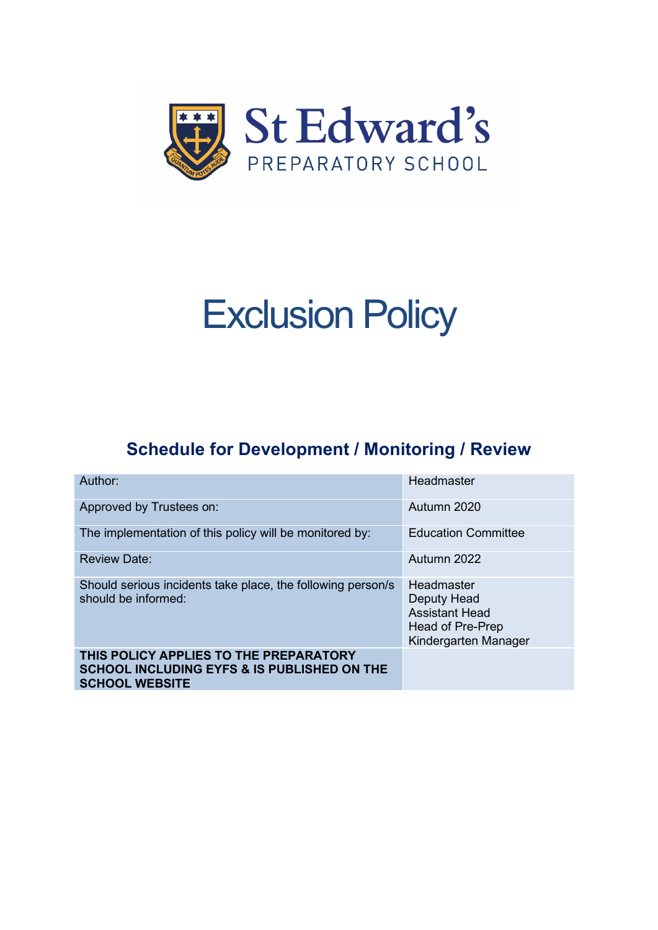

# Exclusion Policy

# **Schedule for Development / Monitoring / Review**

| Author:                                                                                                                   | Headmaster                                                                                     |
|---------------------------------------------------------------------------------------------------------------------------|------------------------------------------------------------------------------------------------|
| Approved by Trustees on:                                                                                                  | Autumn 2020                                                                                    |
| The implementation of this policy will be monitored by:                                                                   | <b>Education Committee</b>                                                                     |
| <b>Review Date:</b>                                                                                                       | Autumn 2022                                                                                    |
| Should serious incidents take place, the following person/s<br>should be informed:                                        | Headmaster<br>Deputy Head<br><b>Assistant Head</b><br>Head of Pre-Prep<br>Kindergarten Manager |
| THIS POLICY APPLIES TO THE PREPARATORY<br><b>SCHOOL INCLUDING EYFS &amp; IS PUBLISHED ON THE</b><br><b>SCHOOL WEBSITE</b> |                                                                                                |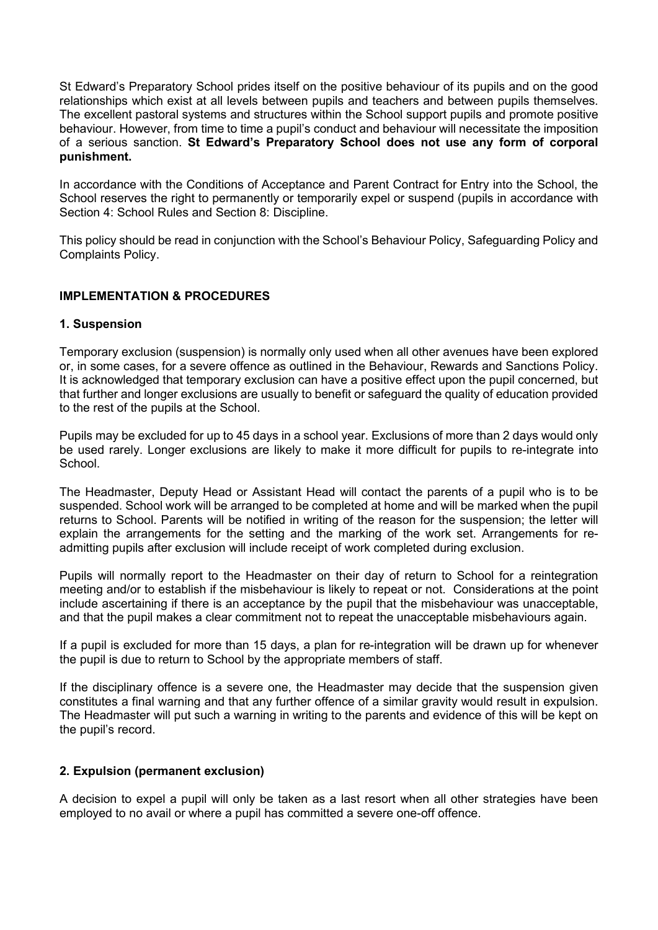St Edward's Preparatory School prides itself on the positive behaviour of its pupils and on the good relationships which exist at all levels between pupils and teachers and between pupils themselves. The excellent pastoral systems and structures within the School support pupils and promote positive behaviour. However, from time to time a pupil's conduct and behaviour will necessitate the imposition of a serious sanction. **St Edward's Preparatory School does not use any form of corporal punishment.** 

In accordance with the Conditions of Acceptance and Parent Contract for Entry into the School, the School reserves the right to permanently or temporarily expel or suspend (pupils in accordance with Section 4: School Rules and Section 8: Discipline.

This policy should be read in conjunction with the School's Behaviour Policy, Safeguarding Policy and Complaints Policy.

# **IMPLEMENTATION & PROCEDURES**

#### **1. Suspension**

Temporary exclusion (suspension) is normally only used when all other avenues have been explored or, in some cases, for a severe offence as outlined in the Behaviour, Rewards and Sanctions Policy. It is acknowledged that temporary exclusion can have a positive effect upon the pupil concerned, but that further and longer exclusions are usually to benefit or safeguard the quality of education provided to the rest of the pupils at the School.

Pupils may be excluded for up to 45 days in a school year. Exclusions of more than 2 days would only be used rarely. Longer exclusions are likely to make it more difficult for pupils to re-integrate into School.

The Headmaster, Deputy Head or Assistant Head will contact the parents of a pupil who is to be suspended. School work will be arranged to be completed at home and will be marked when the pupil returns to School. Parents will be notified in writing of the reason for the suspension; the letter will explain the arrangements for the setting and the marking of the work set. Arrangements for readmitting pupils after exclusion will include receipt of work completed during exclusion.

Pupils will normally report to the Headmaster on their day of return to School for a reintegration meeting and/or to establish if the misbehaviour is likely to repeat or not. Considerations at the point include ascertaining if there is an acceptance by the pupil that the misbehaviour was unacceptable, and that the pupil makes a clear commitment not to repeat the unacceptable misbehaviours again.

If a pupil is excluded for more than 15 days, a plan for re-integration will be drawn up for whenever the pupil is due to return to School by the appropriate members of staff.

If the disciplinary offence is a severe one, the Headmaster may decide that the suspension given constitutes a final warning and that any further offence of a similar gravity would result in expulsion. The Headmaster will put such a warning in writing to the parents and evidence of this will be kept on the pupil's record.

## **2. Expulsion (permanent exclusion)**

A decision to expel a pupil will only be taken as a last resort when all other strategies have been employed to no avail or where a pupil has committed a severe one-off offence.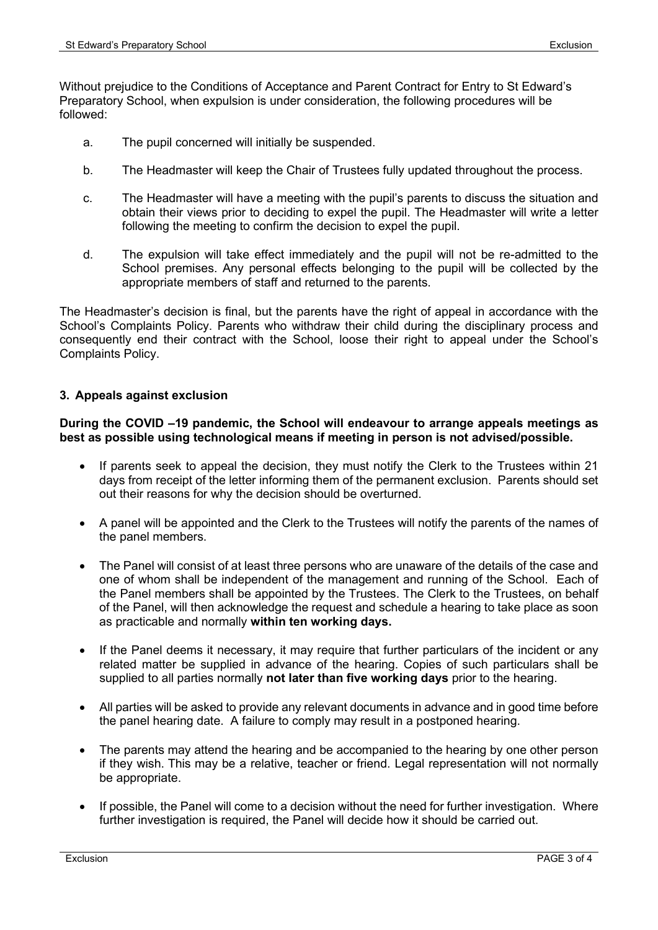Without prejudice to the Conditions of Acceptance and Parent Contract for Entry to St Edward's Preparatory School, when expulsion is under consideration, the following procedures will be followed:

- a. The pupil concerned will initially be suspended.
- b. The Headmaster will keep the Chair of Trustees fully updated throughout the process.
- c. The Headmaster will have a meeting with the pupil's parents to discuss the situation and obtain their views prior to deciding to expel the pupil. The Headmaster will write a letter following the meeting to confirm the decision to expel the pupil.
- d. The expulsion will take effect immediately and the pupil will not be re-admitted to the School premises. Any personal effects belonging to the pupil will be collected by the appropriate members of staff and returned to the parents.

The Headmaster's decision is final, but the parents have the right of appeal in accordance with the School's Complaints Policy. Parents who withdraw their child during the disciplinary process and consequently end their contract with the School, loose their right to appeal under the School's Complaints Policy.

## **3. Appeals against exclusion**

#### **During the COVID –19 pandemic, the School will endeavour to arrange appeals meetings as best as possible using technological means if meeting in person is not advised/possible.**

- If parents seek to appeal the decision, they must notify the Clerk to the Trustees within 21 days from receipt of the letter informing them of the permanent exclusion. Parents should set out their reasons for why the decision should be overturned.
- A panel will be appointed and the Clerk to the Trustees will notify the parents of the names of the panel members.
- The Panel will consist of at least three persons who are unaware of the details of the case and one of whom shall be independent of the management and running of the School. Each of the Panel members shall be appointed by the Trustees. The Clerk to the Trustees, on behalf of the Panel, will then acknowledge the request and schedule a hearing to take place as soon as practicable and normally **within ten working days.**
- If the Panel deems it necessary, it may require that further particulars of the incident or any related matter be supplied in advance of the hearing. Copies of such particulars shall be supplied to all parties normally **not later than five working days** prior to the hearing.
- All parties will be asked to provide any relevant documents in advance and in good time before the panel hearing date. A failure to comply may result in a postponed hearing.
- The parents may attend the hearing and be accompanied to the hearing by one other person if they wish. This may be a relative, teacher or friend. Legal representation will not normally be appropriate.
- If possible, the Panel will come to a decision without the need for further investigation. Where further investigation is required, the Panel will decide how it should be carried out.